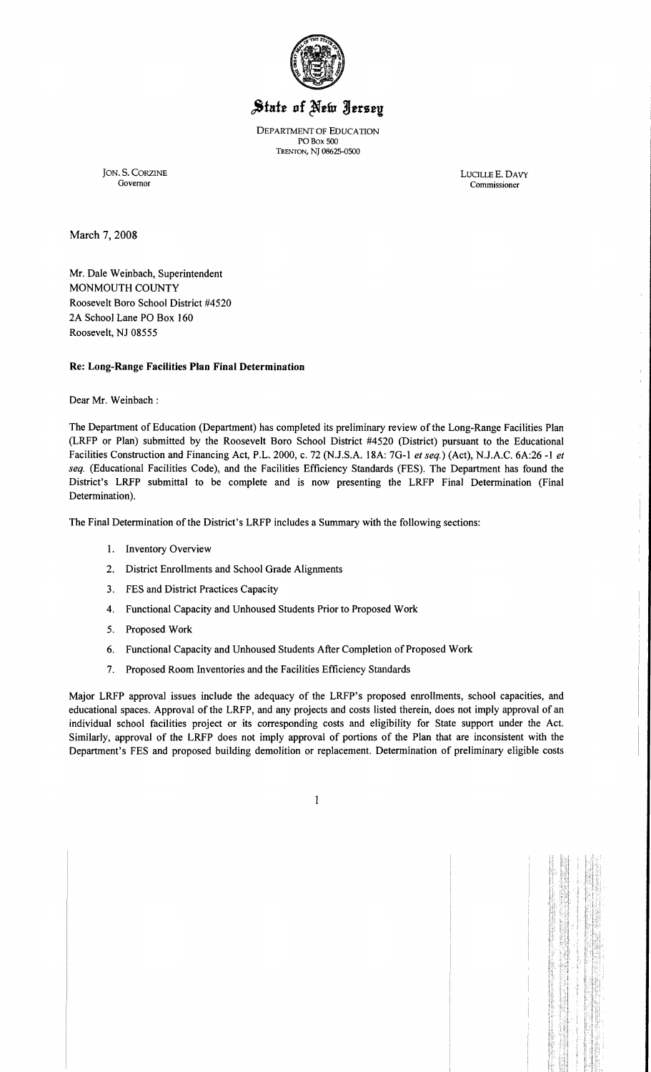

# State of New Jersey

DEPARTMENT OF EDUCATION POBox SOO TRENTON, NJ 08625-0S00

JON. S. CORZINE LUCILLE E. DAVY Governor Commissioner

Commissioner

March 7, 2008

Mr. Dale Weinbach, Superintendent MONMOUTH COUNTY Roosevelt Boro School District #4520 2A School Lane PO Box 160 Roosevelt, NJ 08555

### Re: Long-Range Facilities Plan Final Determination

Dear Mr. Weinbach :

The Department of Education (Department) has completed its preliminary review of the Long-Range Facilities Plan (LRFP or Plan) submitted by the Roosevelt Boro School District #4520 (District) pursuant to the Educational Facilities Construction and Financing Act, P.L. 2000, c. 72 (NJ.S.A. 18A: 7G-l *et seq.)* (Act), N.J.A.C. 6A:26 -1 *et seq.* (Educational Facilities Code), and the Facilities Efficiency Standards (FES). The Department has found the District's LRFP submittal to be complete and is now presenting the LRFP Final Determination (Final Determination).

The Final Determination of the District's LRFP includes a Summary with the following sections:

- 1. Inventory Overview
- 2. District Enrollments and School Grade Alignments
- 3. FES and District Practices Capacity
- 4. Functional Capacity and Unhoused Students Prior to Proposed Work
- 5. Proposed Work
- 6. Functional Capacity and Unhoused Students After Completion of Proposed Work
- 7. Proposed Room Inventories and the Facilities Efficiency Standards

Major LRFP approval issues include the adequacy of the LRFP's proposed enrollments, school capacities, and educational spaces. Approval of the LRFP, and any projects and costs listed therein, does not imply approval of an individual school facilities project or its corresponding costs and eligibility for State support under the Act. Similarly, approval of the LRFP does not imply approval of portions of the Plan that are inconsistent with the Department's FES and proposed building demolition or replacement. Determination of preliminary eligible costs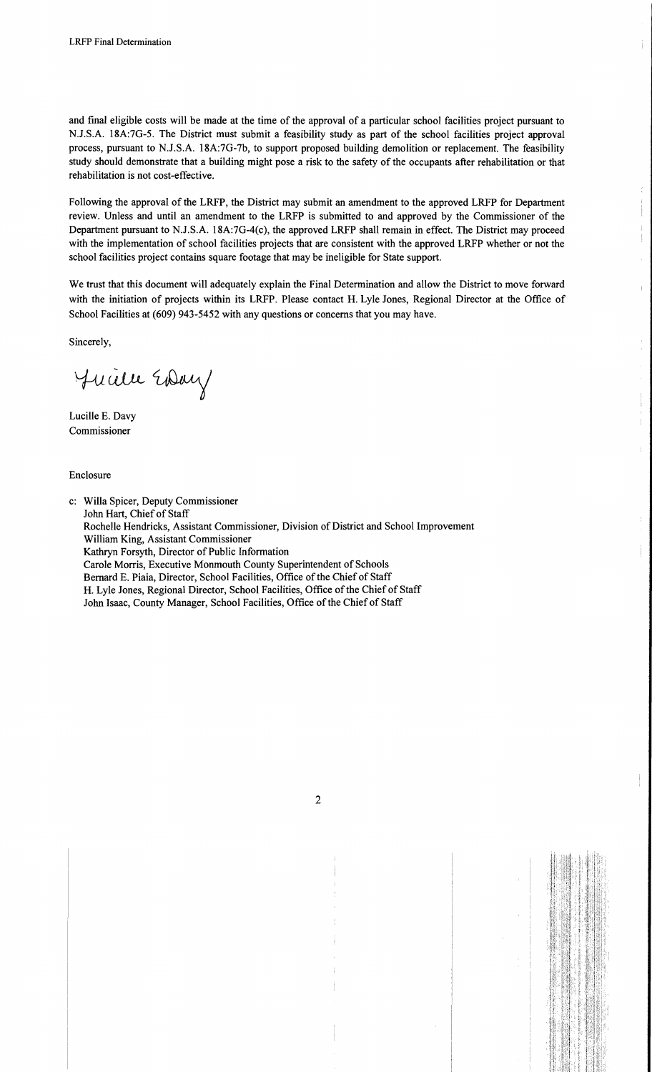and final eligible costs will be made at the time of the approval of a particular school facilities project pursuant to N.J.S.A. 18A:7G-5. The District must submit a feasibility study as part of the school facilities project approval process, pursuant to N.J.S.A. 18A:7G-7b, to support proposed building demolition or replacement. The feasibility study should demonstrate that a building might pose a risk to the safety of the occupants after rehabilitation or that rehabilitation is not cost-effective.

Following the approval of the LRFP, the District may submit an amendment to the approved LRFP for Department review. Unless and until an amendment to the LRFP is submitted to and approved by the Commissioner of the Department pursuant to N.J.S.A. 18A:7G-4(c), the approved LRFP shall remain in effect. The District may proceed with the implementation of school facilities projects that are consistent with the approved LRFP whether or not the school facilities project contains square footage that may be ineligible for State support.

We trust that this document will adequately explain the Final Determination and allow the District to move forward with the initiation of projects within its LRFP. Please contact H. Lyle Jones, Regional Director at the Office of School Facilities at (609) 943-5452 with any questions or concerns that you may have.

Sincerely,

Juille Eday

Lucille E. Davy Commissioner

Enclosure

c: Willa Spicer, Deputy Commissioner John Hart, Chief of Staff Rochelle Hendricks, Assistant Commissioner, Division of District and School Improvement William King, Assistant Commissioner Kathryn Forsyth, Director of Public Information Carole Morris, Executive Monmouth County Superintendent of Schools Bernard E. Piaia, Director, School Facilities, Office of the Chief of Staff H. Lyle Jones, Regional Director, School Facilities, Office of the Chief of Staff John Isaac, County Manager, School Facilities, Office of the Chief of Staff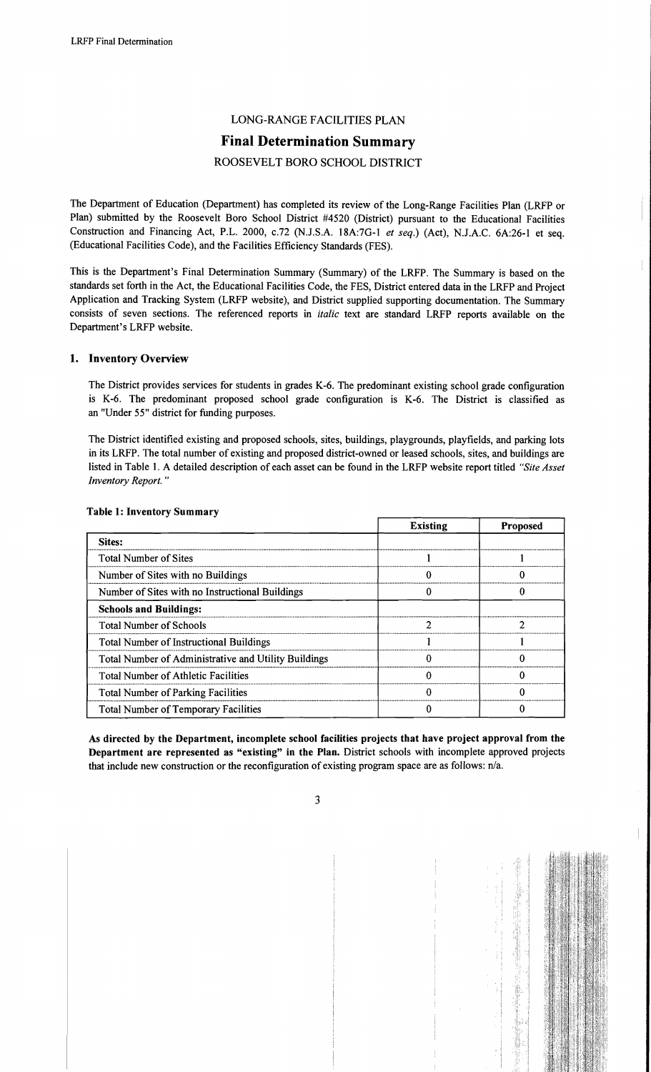# LONG-RANGE FACILITIES PLAN

## **Final Determination Summary**

## ROOSEVELT BORO SCHOOL DISTRICT

The Department of Education (Department) has completed its review of the Long-Range Facilities Plan (LRFP or Plan) submitted by the Roosevelt Boro School District #4520 (District) pursuant to the Educational Facilities Construction and Financing Act, P.L. 2000, c.72 (N.J.S.A. 18A:7G-l *et seq.)* (Act), N.J.A.C. 6A:26-1 et seq. (Educational Facilities Code), and the Facilities Efficiency Standards (FES).

This is the Department's Final Determination Summary (Summary) of the LRFP. The Summary is based on the standards set forth in the Act, the Educational Facilities Code, the FES, District entered data in the LRFP and Project Application and Tracking System (LRFP website), and District supplied supporting documentation. The Summary consists of seven sections. The referenced reports in *italic* text are standard LRFP reports available on the Department's LRFP website.

#### 1. Inventory Overview

The District provides services for students in grades K-6. The predominant existing school grade configuration is K-6. The predominant proposed school grade configuration is K-6. The District is classified as an "Under 55" district for funding purposes.

The District identified existing and proposed schools, sites, buildings, playgrounds, playfields, and parking lots in its LRFP. The total number of existing and proposed district-owned or leased schools, sites, and buildings are listed in Table 1. A detailed description of each asset can be found in the LRFP website report titled *"Site Asset Inventory Report. "* 

|                                                      | <b>Existing</b> | <b>Proposed</b> |
|------------------------------------------------------|-----------------|-----------------|
| Sites:                                               |                 |                 |
| <b>Total Number of Sites</b>                         |                 |                 |
| Number of Sites with no Buildings                    |                 |                 |
| Number of Sites with no Instructional Buildings      |                 |                 |
| <b>Schools and Buildings:</b>                        |                 |                 |
| <b>Total Number of Schools</b>                       |                 |                 |
| <b>Total Number of Instructional Buildings</b>       |                 |                 |
| Total Number of Administrative and Utility Buildings |                 |                 |
| <b>Total Number of Athletic Facilities</b>           |                 |                 |
| <b>Total Number of Parking Facilities</b>            |                 |                 |
| <b>Total Number of Temporary Facilities</b>          |                 |                 |

#### Table 1: Inventory Summary

As directed by the Department, incomplete school facilities projects that have project approval from the Department are represented as "existing" in the Plan. District schools with incomplete approved projects that include new construction or the reconfiguration of existing program space are as follows: n/a.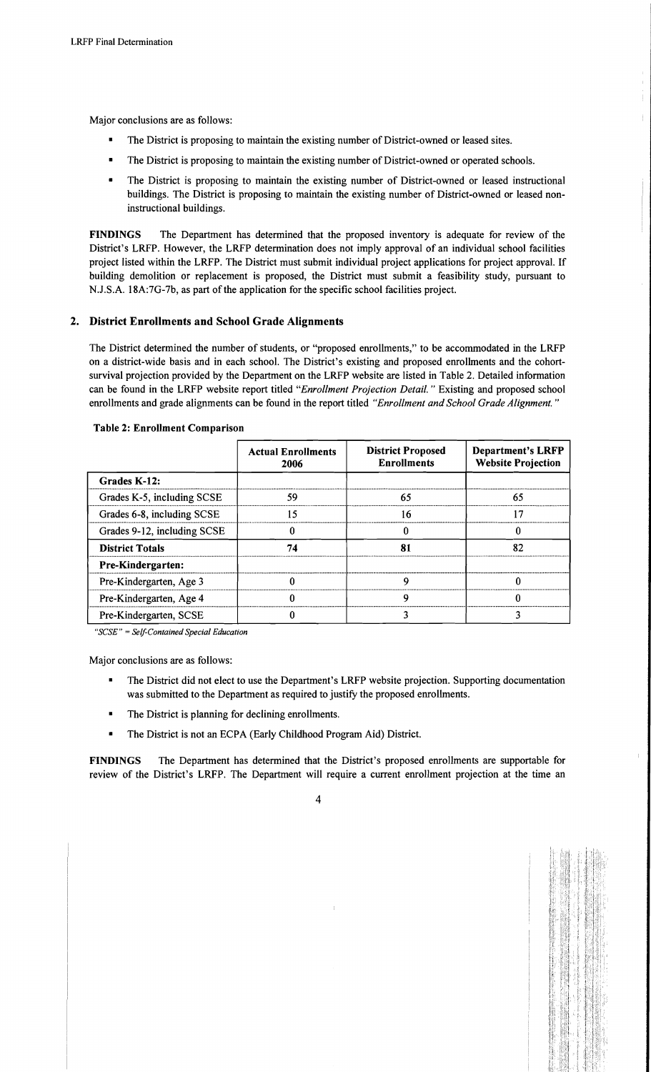Major conclusions are as follows:

- The District is proposing to maintain the existing number of District-owned or leased sites.
- The District is proposing to maintain the existing number of District-owned or operated schools.
- The District is proposing to maintain the existing number of District-owned or leased instructional buildings. The District is proposing to maintain the existing number of District-owned or leased noninstructional buildings.

FINDINGS The Department has determined that the proposed inventory is adequate for review of the District's LRFP. However, the LRFP determination does not imply approval of an individual school facilities project listed within the LRFP. The District must submit individual project applications for project approval. If building demolition or replacement is proposed, the District must submit a feasibility study, pursuant to N.J.S.A. 18A:7G-7b, as part of the application for the specific school facilities project.

## 2. District Enrollments and School Grade Alignments

The District determined the number of students, or "proposed enrollments," to be accommodated in the LRFP on a district-wide basis and in each school. The District's existing and proposed enrollments and the cohortsurvival projection provided by the Department on the LRFP website are listed in Table 2. Detailed information can be found in the LRFP website report titled *"Enrollment Projection Detail.* " Existing and proposed school enrollments and grade alignments can be found in the report titled *"Enrollment and School Grade Alignment. "* 

|                             | <b>Actual Enrollments</b><br>2006 | <b>District Proposed</b><br><b>Enrollments</b> | <b>Department's LRFP</b><br><b>Website Projection</b> |
|-----------------------------|-----------------------------------|------------------------------------------------|-------------------------------------------------------|
| Grades K-12:                |                                   |                                                |                                                       |
| Grades K-5, including SCSE  | 59                                | 65                                             | 65                                                    |
| Grades 6-8, including SCSE  | 15                                | 16                                             |                                                       |
| Grades 9-12, including SCSE |                                   |                                                |                                                       |
| <b>District Totals</b>      | 74                                | 81                                             | 82                                                    |
| <b>Pre-Kindergarten:</b>    |                                   |                                                |                                                       |
| Pre-Kindergarten, Age 3     |                                   | ი                                              |                                                       |
| Pre-Kindergarten, Age 4     |                                   | Q                                              |                                                       |
| Pre-Kindergarten, SCSE      |                                   |                                                |                                                       |

#### Table 2: Enrollment Comparison

*"SCSE"* = *Self-Contained Special Education* 

Major conclusions are as follows:

- The District did not elect to use the Department's LRFP website projection. Supporting documentation was submitted to the Department as required to justify the proposed enrollments.
- The District is planning for declining enrollments.
- The District is not an ECPA (Early Childhood Program Aid) District.

FINDINGS The Department has determined that the District's proposed enrollments are supportable for review of the District's LRFP. The Department will require a current enrollment projection at the time an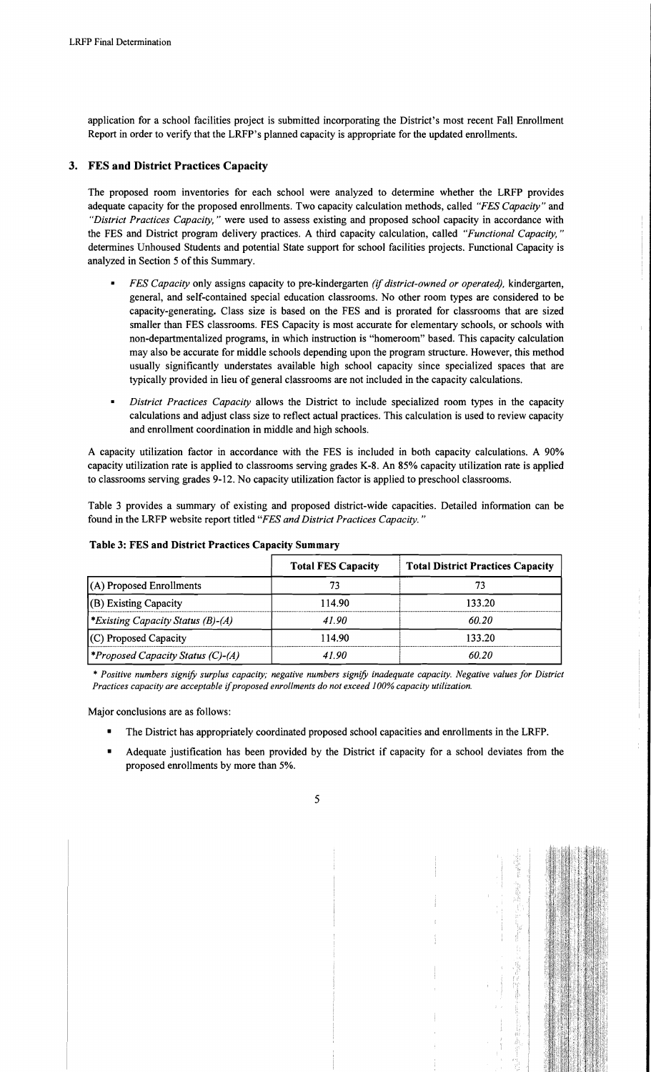application for a school facilities project is submitted incorporating the District's most recent Fall Enrollment Report in order to verify that the LRFP's planned capacity is appropriate for the updated enrollments.

## 3. FES and District Practices Capacity

The proposed room inventories for each school were analyzed to determine whether the LRFP provides adequate capacity for the proposed enrollments. Two capacity calculation methods, called *"FES Capacity"* and *"District Practices Capacity,* " were used to assess existing and proposed school capacity in accordance with the FES and District program delivery practices. A third capacity calculation, called *"Functional Capacity, "*  determines Unhoused Students and potential State support for school facilities projects. Functional Capacity is analyzed in Section 5 of this Summary.

- *FES Capacity only assigns capacity to pre-kindergarten <i>(if district-owned or operated), kindergarten,* general, and self-contained special education classrooms. No other room types are considered to be capacity-generating. Class size is based on the FES and is prorated for classrooms that are sized smaller than FES classrooms. FES Capacity is most accurate for elementary schools, or schools with non-departmentalized programs, in which instruction is "homeroom" based. This capacity calculation may also be accurate for middle schools depending upon the program structure. However, this method usually significantly understates available high school capacity since specialized spaces that are typically provided in lieu of general classrooms are not included in the capacity calculations.
- *District Practices Capacity* allows the District to include specialized room types in the capacity calculations and adjust class size to reflect actual practices. This calculation is used to review capacity and enrollment coordination in middle and high schools.

A capacity utilization factor in accordance with the FES is included in both capacity calculations. A 90% capacity utilization rate is applied to classrooms serving grades K-8. An 85% capacity utilization rate is applied to classrooms serving grades 9-12. No capacity utilization factor is applied to preschool classrooms.

Table 3 provides a summary of existing and proposed district-wide capacities. Detailed information can be found in the LRFP website report titled *"FES and District Practices Capacity. "* 

|                                                 | <b>Total FES Capacity</b> | <b>Total District Practices Capacity</b> |
|-------------------------------------------------|---------------------------|------------------------------------------|
| $(A)$ Proposed Enrollments                      | 73                        |                                          |
| (B) Existing Capacity                           | 114.90                    | 133.20                                   |
| <i>Existing Capacity Status (B)-(A)</i>         | 41.90                     | 60.20                                    |
| (C) Proposed Capacity                           | 114.90                    | 133.20                                   |
| <i><b>*Proposed Capacity Status (C)-(A)</b></i> | 4190                      | 60.20                                    |

Table 3: FES and District Practices Capacity Summary

*• Positive numbers signify surplus capacity; negative numbers signify inadequate capacity. Negative values for District Practices capacity are acceptable* if*proposed enrollments do not exceed 100% capacity utilization.* 

Major conclusions are as follows:

- The District has appropriately coordinated proposed school capacities and enrollments in the LRFP.
- Adequate justification has been provided by the District if capacity for a school deviates from the proposed enrollments by more than 5%.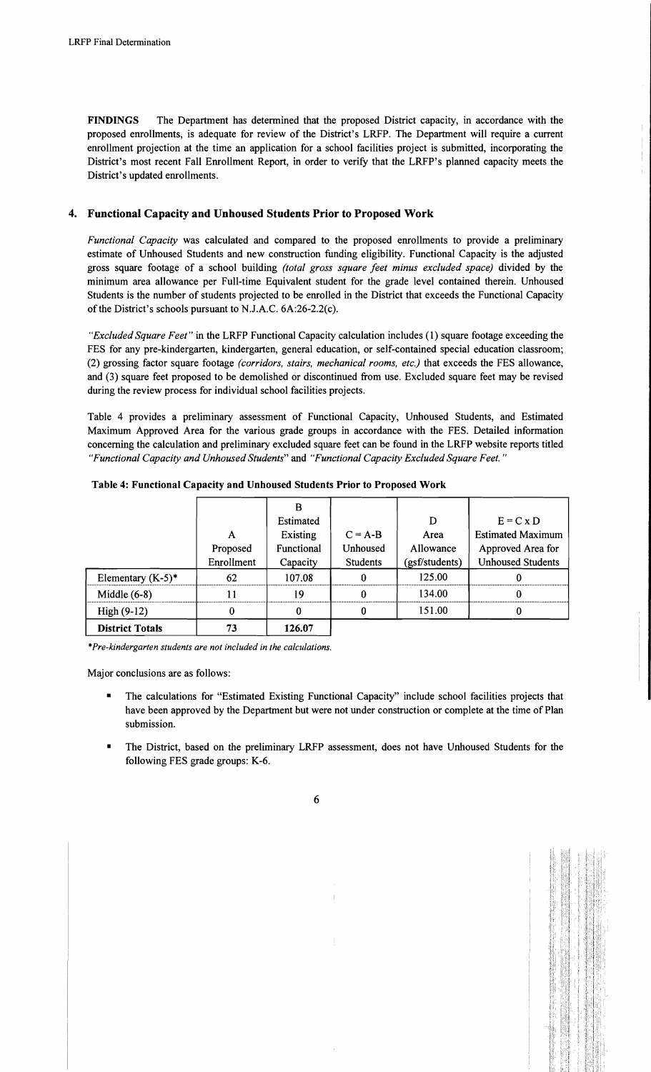FINDINGS The Department has determined that the proposed District capacity, in accordance with the proposed enrollments, is adequate for review of the District's LRFP. The Department will require a current enrollment projection at the time an application for a school facilities project is submitted, incorporating the District's most recent Fall Enrollment Report, in order to verify that the LRFP's planned capacity meets the District's updated enrollments.

## 4. Functional Capacity and Unhoused Students Prior to Proposed Work

*Functional Capacity* was calculated and compared to the proposed enrollments to provide a preliminary estimate of Unhoused Students and new construction funding eligibility. Functional Capacity is the adjusted gross square footage of a school building *(total gross square feet minus excluded space)* divided by the minimum area allowance per Full-time Equivalent student for the grade level contained therein. Unhoused Students is the number of students projected to be enrolled in the District that exceeds the Functional Capacity of the District's schools pursuant to N.J.A.C. 6A:26-2.2(c).

*"Excluded Square Feet"* in the LRFP Functional Capacity calculation includes (1) square footage exceeding the FES for any pre-kindergarten, kindergarten, general education, or self-contained special education classroom; (2) grossing factor square footage *(corridors, stairs, mechanical rooms, etc.)* that exceeds the FES allowance, and (3) square feet proposed to be demolished or discontinued from use. Excluded square feet may be revised during the review process for individual school facilities projects.

Table 4 provides a preliminary assessment of Functional Capacity, Unhoused Students, and Estimated Maximum Approved Area for the various grade groups in accordance with the FES. Detailed information concerning the calculation and preliminary excluded square feet can be found in the LRFP website reports titled *"Functional Capacity and Unhoused Students"* and *"Functional Capacity Excluded Square Feet."* 

|                        |            | в          |                 |                |                          |
|------------------------|------------|------------|-----------------|----------------|--------------------------|
|                        |            | Estimated  |                 | D              | $E = C x D$              |
|                        | A          | Existing   | $C = A-B$       | Area           | <b>Estimated Maximum</b> |
|                        | Proposed   | Functional | Unhoused        | Allowance      | Approved Area for        |
|                        | Enrollment | Capacity   | <b>Students</b> | (gsf/students) | <b>Unhoused Students</b> |
| Elementary $(K-5)^*$   | 62         | 107.08     |                 | 125.00         |                          |
| Middle $(6-8)$         | 11         | 19         |                 | 134.00         |                          |
| $High(9-12)$           |            | 0          |                 | 151.00         |                          |
| <b>District Totals</b> | 73         | 126.07     |                 |                |                          |

Table 4: Functional Capacity and Unhoused Students Prior to Proposed Work

*\*Pre-kindergarten students are not included in the calculations.* 

Major conclusions are as follows:

- The calculations for "Estimated Existing Functional Capacity" include school facilities projects that have been approved by the Department but were not under construction or complete at the time of Plan submission.
- The District, based on the preliminary LRFP assessment, does not have Unhoused Students for the following FES grade groups: K-6.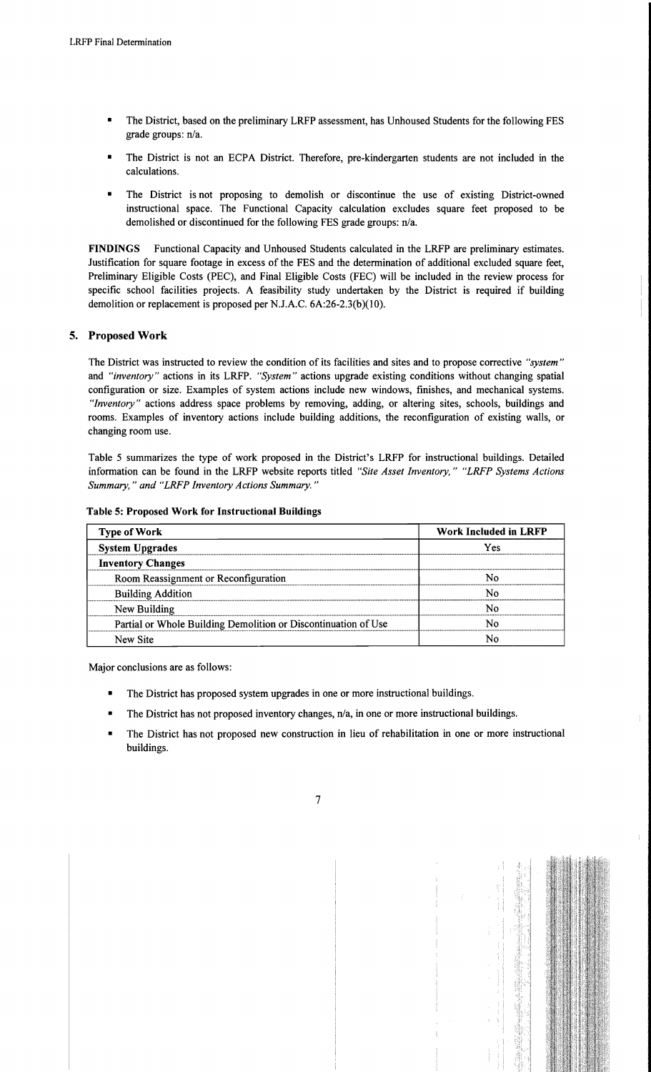- The District, based on the preliminary LRFP assessment, has Unhoused Students for the following FES grade groups: n/a.
- The District is not an ECPA District. Therefore, pre-kindergarten students are not included in the calculations.
- The District is not proposing to demolish or discontinue the use of existing District-owned instructional space. The Functional Capacity calculation excludes square feet proposed to be demolished or discontinued for the following FES grade groups: n/a.

FINDINGS Functional Capacity and Unhoused Students calculated in the LRFP are preliminary estimates. Justification for square footage in excess of the FES and the determination of additional excluded square feet, Preliminary Eligible Costs (PEC), and Final Eligible Costs (FEC) will be included in the review process for specific school facilities projects. A feasibility study undertaken by the District is required if building demolition or replacement is proposed per N.J.A.C. 6A:26-2.3(b)(10).

## 5. Proposed Work

The District was instructed to review the condition of its facilities and sites and to propose corrective *"system"*  and *"inventory"* actions in its LRFP. *"System"* actions upgrade existing conditions without changing spatial configuration or size. Examples of system actions include new windows, finishes, and mechanical systems. *"Inventory"* actions address space problems by removing, adding, or altering sites, schools, buildings and rooms. Examples of inventory actions include building additions, the reconfiguration of existing walls, or changing room use.

Table 5 summarizes the type of work proposed in the District's LRFP for instructional buildings. Detailed information can be found in the LRFP website reports titled *"Site Asset Inventory," "LRFP Systems Actions Summary,* " *and "LRFP Inventory Actions Summary. "* 

| <b>Type of Work</b>                                            | <b>Work Included in LRFP</b> |  |  |
|----------------------------------------------------------------|------------------------------|--|--|
| <b>System Upgrades</b>                                         | Yes                          |  |  |
| <b>Inventory Changes</b>                                       |                              |  |  |
| Room Reassignment or Reconfiguration                           | N٥                           |  |  |
| <b>Building Addition</b>                                       | N٥                           |  |  |
| New Building                                                   | N٥                           |  |  |
| Partial or Whole Building Demolition or Discontinuation of Use | N٥                           |  |  |
| New Site                                                       | N٥                           |  |  |

Table 5: Proposed Work for Instructional Buildings

Major conclusions are as follows:

- The District has proposed system upgrades in one or more instructional buildings.
- The District has not proposed inventory changes, n/a, in one or more instructional buildings.
- The District has not proposed new construction in lieu of rehabilitation in one or more instructional buildings.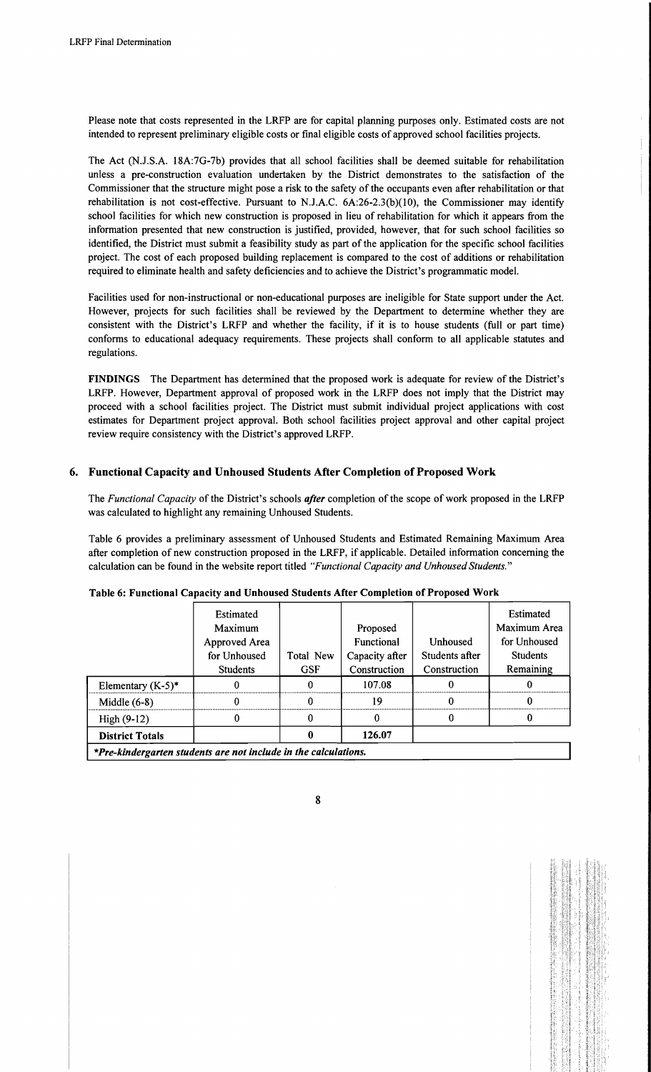Please note that costs represented in the LRFP are for capital planning purposes only. Estimated costs are not intended to represent preliminary eligible costs or fmal eligible costs of approved school facilities projects.

The Act (N.J.S.A. 18A:7G-7b) provides that all school facilities shall be deemed suitable for rehabilitation unless a pre-construction evaluation undertaken by the District demonstrates to the satisfaction of the Commissioner that the structure might pose a risk to the safety of the occupants even after rehabilitation or that rehabilitation is not cost-effective. Pursuant to NJ.A.C. 6A:26-2.3(b)(10), the Commissioner may identify school facilities for which new construction is proposed in lieu of rehabilitation for which it appears from the information presented that new construction is justified, provided, however, that for such school facilities so identified, the District must submit a feasibility study as part of the application for the specific school facilities project. The cost of each proposed building replacement is compared to the cost of additions or rehabilitation required to eliminate health and safety deficiencies and to achieve the District's programmatic model.

Facilities used for non-instructional or non-educational purposes are ineligible for State support under the Act. However, projects for such facilities shall be reviewed by the Department to determine whether they are consistent with the District's LRFP and whether the facility, if it is to house students (full or part time) conforms to educational adequacy requirements. These projects shall conform to all applicable statutes and regulations.

FINDINGS The Department has determined that the proposed work is adequate for review of the District's LRFP. However, Department approval of proposed work in the LRFP does not imply that the District may proceed with a school facilities project. The District must submit individual project applications with cost estimates for Department project approval. Both school facilities project approval and other capital project review require consistency with the District's approved LRFP.

## 6. Functional Capacity and Unhoused Students After Completion of Proposed Work

The *Functional Capacity* of the District's schools *after* completion of the scope of work proposed in the LRFP was calculated to highlight any remaining Unhoused Students.

Table 6 provides a preliminary assessment of Unhoused Students and Estimated Remaining Maximum Area after completion of new construction proposed in the LRFP, if applicable. Detailed information concerning the calculation can be found in the website report titled *"Functional Capacity and Unhoused Students."* 

|                        | Estimated       |            |                |                 | Estimated       |
|------------------------|-----------------|------------|----------------|-----------------|-----------------|
|                        | Maximum         |            | Proposed       |                 | Maximum Area    |
|                        | Approved Area   |            | Functional     | <b>Unhoused</b> | for Unhoused    |
|                        | for Unhoused    | Total New  | Capacity after | Students after  | <b>Students</b> |
|                        | <b>Students</b> | <b>GSF</b> | Construction   | Construction    | Remaining       |
| Elementary $(K-5)^*$   |                 |            | 107.08         |                 |                 |
| Middle $(6-8)$         |                 |            | 19             | 0               |                 |
| $High (9-12)$          |                 |            |                |                 | 0               |
| <b>District Totals</b> |                 | O          | 126.07         |                 |                 |

#### Table 6: Functional Capacity and Unhoused Students After Completion of Proposed Work